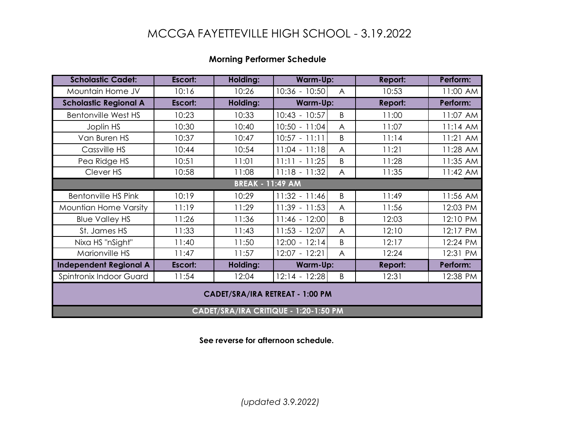## MCCGA FAYETTEVILLE HIGH SCHOOL - 3.19.2022

## **Morning Performer Schedule**

| <b>Scholastic Cadet:</b>               | Escort: | Holding: | Warm-Up:        |                | Report:        | Perform: |  |  |  |
|----------------------------------------|---------|----------|-----------------|----------------|----------------|----------|--|--|--|
| Mountain Home JV                       | 10:16   | 10:26    | 10:36 - 10:50   | $\overline{A}$ | 10:53          | 11:00 AM |  |  |  |
| <b>Scholastic Regional A</b>           | Escort: | Holding: | <b>Warm-Up:</b> |                | Report:        | Perform: |  |  |  |
| <b>Bentonville West HS</b>             | 10:23   | 10:33    | $10:43 - 10:57$ | B              | 11:00          | 11:07 AM |  |  |  |
| Joplin HS                              | 10:30   | 10:40    | $10:50 - 11:04$ | $\overline{A}$ | 11:07          | 11:14 AM |  |  |  |
| Van Buren HS                           | 10:37   | 10:47    | $10:57 - 11:11$ | B              | 11:14          | 11:21 AM |  |  |  |
| Cassville HS                           | 10:44   | 10:54    | $11:04 - 11:18$ | $\overline{A}$ | 11:21          | 11:28 AM |  |  |  |
| Pea Ridge HS                           | 10:51   | 11:01    | $11:11 - 11:25$ | B              | 11:28          | 11:35 AM |  |  |  |
| Clever HS                              | 10:58   | 11:08    | $11:18 - 11:32$ | A              | 11:35          | 11:42 AM |  |  |  |
| <b>BREAK - 11:49 AM</b>                |         |          |                 |                |                |          |  |  |  |
| <b>Bentonville HS Pink</b>             | 10:19   | 10:29    | $11:32 - 11:46$ | B              | 11:49          | 11:56 AM |  |  |  |
| Mountian Home Varsity                  | 11:19   | 11:29    | $11:39 - 11:53$ | $\overline{A}$ | 11:56          | 12:03 PM |  |  |  |
| <b>Blue Valley HS</b>                  | 11:26   | 11:36    | $11:46 - 12:00$ | B              | 12:03          | 12:10 PM |  |  |  |
| St. James HS                           | 11:33   | 11:43    | $11:53 - 12:07$ | $\overline{A}$ | 12:10          | 12:17 PM |  |  |  |
| Nixa HS "nSight"                       | 11:40   | 11:50    | $12:00 - 12:14$ | B              | 12:17          | 12:24 PM |  |  |  |
| Marionville HS                         | 11:47   | 11:57    | $12:07 - 12:21$ | A              | 12:24          | 12:31 PM |  |  |  |
| <b>Independent Regional A</b>          | Escort: | Holding: | Warm-Up:        |                | <b>Report:</b> | Perform: |  |  |  |
| Spintronix Indoor Guard                | 11:54   | 12:04    | $12:14 - 12:28$ | B              | 12:31          | 12:38 PM |  |  |  |
| <b>CADET/SRA/IRA RETREAT - 1:00 PM</b> |         |          |                 |                |                |          |  |  |  |
| CADET/SRA/IRA CRITIQUE - 1:20-1:50 PM  |         |          |                 |                |                |          |  |  |  |

**See reverse for afternoon schedule.**